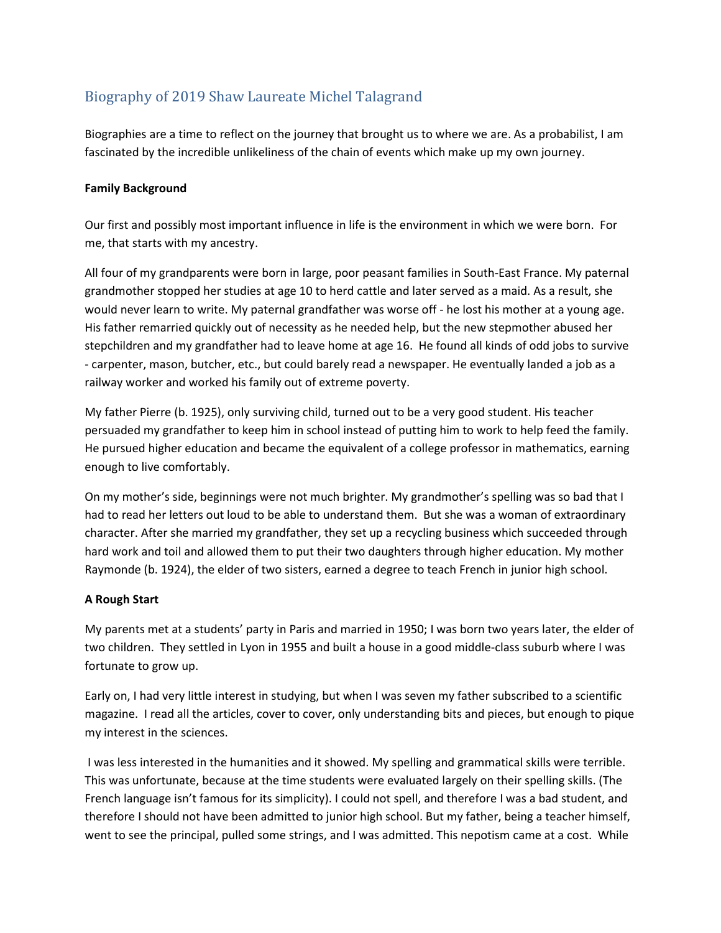# Biography of 2019 Shaw Laureate Michel Talagrand

Biographies are a time to reflect on the journey that brought us to where we are. As a probabilist, I am fascinated by the incredible unlikeliness of the chain of events which make up my own journey.

# Family Background

Our first and possibly most important influence in life is the environment in which we were born. For me, that starts with my ancestry.

All four of my grandparents were born in large, poor peasant families in South-East France. My paternal grandmother stopped her studies at age 10 to herd cattle and later served as a maid. As a result, she would never learn to write. My paternal grandfather was worse off - he lost his mother at a young age. His father remarried quickly out of necessity as he needed help, but the new stepmother abused her stepchildren and my grandfather had to leave home at age 16. He found all kinds of odd jobs to survive - carpenter, mason, butcher, etc., but could barely read a newspaper. He eventually landed a job as a railway worker and worked his family out of extreme poverty.

My father Pierre (b. 1925), only surviving child, turned out to be a very good student. His teacher persuaded my grandfather to keep him in school instead of putting him to work to help feed the family. He pursued higher education and became the equivalent of a college professor in mathematics, earning enough to live comfortably.

On my mother's side, beginnings were not much brighter. My grandmother's spelling was so bad that I had to read her letters out loud to be able to understand them. But she was a woman of extraordinary character. After she married my grandfather, they set up a recycling business which succeeded through hard work and toil and allowed them to put their two daughters through higher education. My mother Raymonde (b. 1924), the elder of two sisters, earned a degree to teach French in junior high school.

### A Rough Start

My parents met at a students' party in Paris and married in 1950; I was born two years later, the elder of two children. They settled in Lyon in 1955 and built a house in a good middle-class suburb where I was fortunate to grow up.

Early on, I had very little interest in studying, but when I was seven my father subscribed to a scientific magazine. I read all the articles, cover to cover, only understanding bits and pieces, but enough to pique my interest in the sciences.

 I was less interested in the humanities and it showed. My spelling and grammatical skills were terrible. This was unfortunate, because at the time students were evaluated largely on their spelling skills. (The French language isn't famous for its simplicity). I could not spell, and therefore I was a bad student, and therefore I should not have been admitted to junior high school. But my father, being a teacher himself, went to see the principal, pulled some strings, and I was admitted. This nepotism came at a cost. While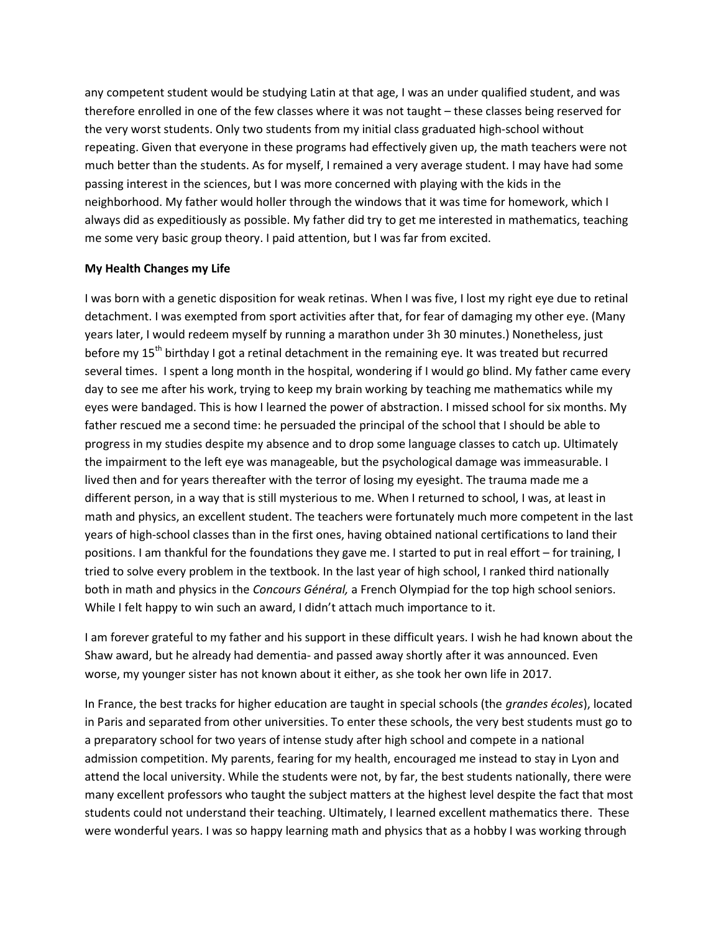any competent student would be studying Latin at that age, I was an under qualified student, and was therefore enrolled in one of the few classes where it was not taught – these classes being reserved for the very worst students. Only two students from my initial class graduated high-school without repeating. Given that everyone in these programs had effectively given up, the math teachers were not much better than the students. As for myself, I remained a very average student. I may have had some passing interest in the sciences, but I was more concerned with playing with the kids in the neighborhood. My father would holler through the windows that it was time for homework, which I always did as expeditiously as possible. My father did try to get me interested in mathematics, teaching me some very basic group theory. I paid attention, but I was far from excited.

#### My Health Changes my Life

I was born with a genetic disposition for weak retinas. When I was five, I lost my right eye due to retinal detachment. I was exempted from sport activities after that, for fear of damaging my other eye. (Many years later, I would redeem myself by running a marathon under 3h 30 minutes.) Nonetheless, just before my 15<sup>th</sup> birthday I got a retinal detachment in the remaining eye. It was treated but recurred several times. I spent a long month in the hospital, wondering if I would go blind. My father came every day to see me after his work, trying to keep my brain working by teaching me mathematics while my eyes were bandaged. This is how I learned the power of abstraction. I missed school for six months. My father rescued me a second time: he persuaded the principal of the school that I should be able to progress in my studies despite my absence and to drop some language classes to catch up. Ultimately the impairment to the left eye was manageable, but the psychological damage was immeasurable. I lived then and for years thereafter with the terror of losing my eyesight. The trauma made me a different person, in a way that is still mysterious to me. When I returned to school, I was, at least in math and physics, an excellent student. The teachers were fortunately much more competent in the last years of high-school classes than in the first ones, having obtained national certifications to land their positions. I am thankful for the foundations they gave me. I started to put in real effort – for training, I tried to solve every problem in the textbook. In the last year of high school, I ranked third nationally both in math and physics in the Concours Général, a French Olympiad for the top high school seniors. While I felt happy to win such an award, I didn't attach much importance to it.

I am forever grateful to my father and his support in these difficult years. I wish he had known about the Shaw award, but he already had dementia- and passed away shortly after it was announced. Even worse, my younger sister has not known about it either, as she took her own life in 2017.

In France, the best tracks for higher education are taught in special schools (the grandes écoles), located in Paris and separated from other universities. To enter these schools, the very best students must go to a preparatory school for two years of intense study after high school and compete in a national admission competition. My parents, fearing for my health, encouraged me instead to stay in Lyon and attend the local university. While the students were not, by far, the best students nationally, there were many excellent professors who taught the subject matters at the highest level despite the fact that most students could not understand their teaching. Ultimately, I learned excellent mathematics there. These were wonderful years. I was so happy learning math and physics that as a hobby I was working through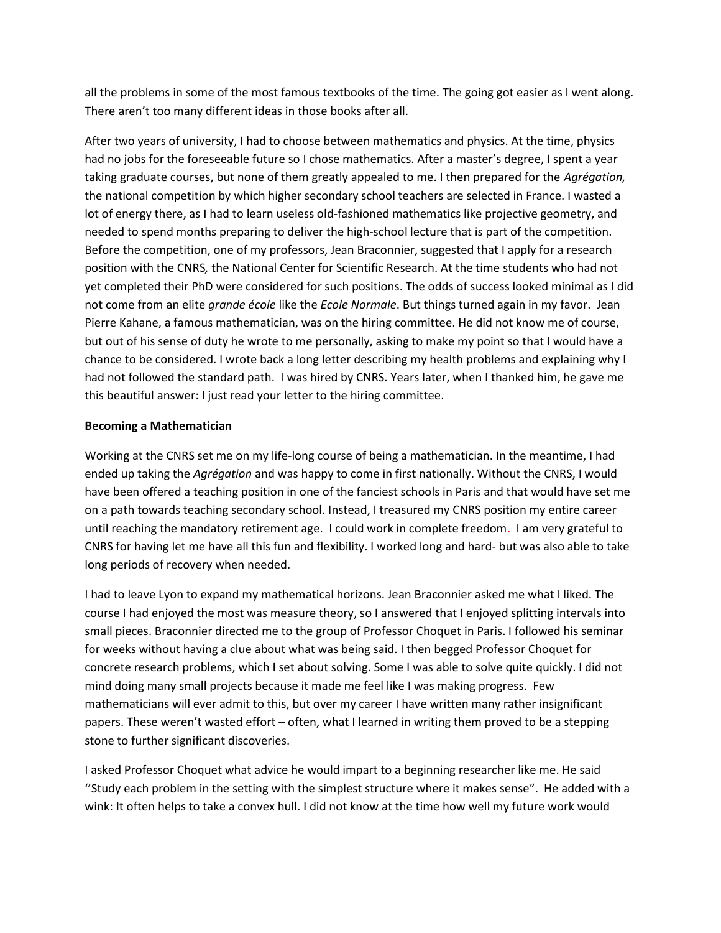all the problems in some of the most famous textbooks of the time. The going got easier as I went along. There aren't too many different ideas in those books after all.

After two years of university, I had to choose between mathematics and physics. At the time, physics had no jobs for the foreseeable future so I chose mathematics. After a master's degree, I spent a year taking graduate courses, but none of them greatly appealed to me. I then prepared for the Agrégation, the national competition by which higher secondary school teachers are selected in France. I wasted a lot of energy there, as I had to learn useless old-fashioned mathematics like projective geometry, and needed to spend months preparing to deliver the high-school lecture that is part of the competition. Before the competition, one of my professors, Jean Braconnier, suggested that I apply for a research position with the CNRS, the National Center for Scientific Research. At the time students who had not yet completed their PhD were considered for such positions. The odds of success looked minimal as I did not come from an elite *grande école* like the *Ecole Normale*. But things turned again in my favor. Jean Pierre Kahane, a famous mathematician, was on the hiring committee. He did not know me of course, but out of his sense of duty he wrote to me personally, asking to make my point so that I would have a chance to be considered. I wrote back a long letter describing my health problems and explaining why I had not followed the standard path. I was hired by CNRS. Years later, when I thanked him, he gave me this beautiful answer: I just read your letter to the hiring committee.

#### Becoming a Mathematician

Working at the CNRS set me on my life-long course of being a mathematician. In the meantime, I had ended up taking the Agrégation and was happy to come in first nationally. Without the CNRS, I would have been offered a teaching position in one of the fanciest schools in Paris and that would have set me on a path towards teaching secondary school. Instead, I treasured my CNRS position my entire career until reaching the mandatory retirement age. I could work in complete freedom. I am very grateful to CNRS for having let me have all this fun and flexibility. I worked long and hard- but was also able to take long periods of recovery when needed.

I had to leave Lyon to expand my mathematical horizons. Jean Braconnier asked me what I liked. The course I had enjoyed the most was measure theory, so I answered that I enjoyed splitting intervals into small pieces. Braconnier directed me to the group of Professor Choquet in Paris. I followed his seminar for weeks without having a clue about what was being said. I then begged Professor Choquet for concrete research problems, which I set about solving. Some I was able to solve quite quickly. I did not mind doing many small projects because it made me feel like I was making progress. Few mathematicians will ever admit to this, but over my career I have written many rather insignificant papers. These weren't wasted effort – often, what I learned in writing them proved to be a stepping stone to further significant discoveries.

I asked Professor Choquet what advice he would impart to a beginning researcher like me. He said ''Study each problem in the setting with the simplest structure where it makes sense". He added with a wink: It often helps to take a convex hull. I did not know at the time how well my future work would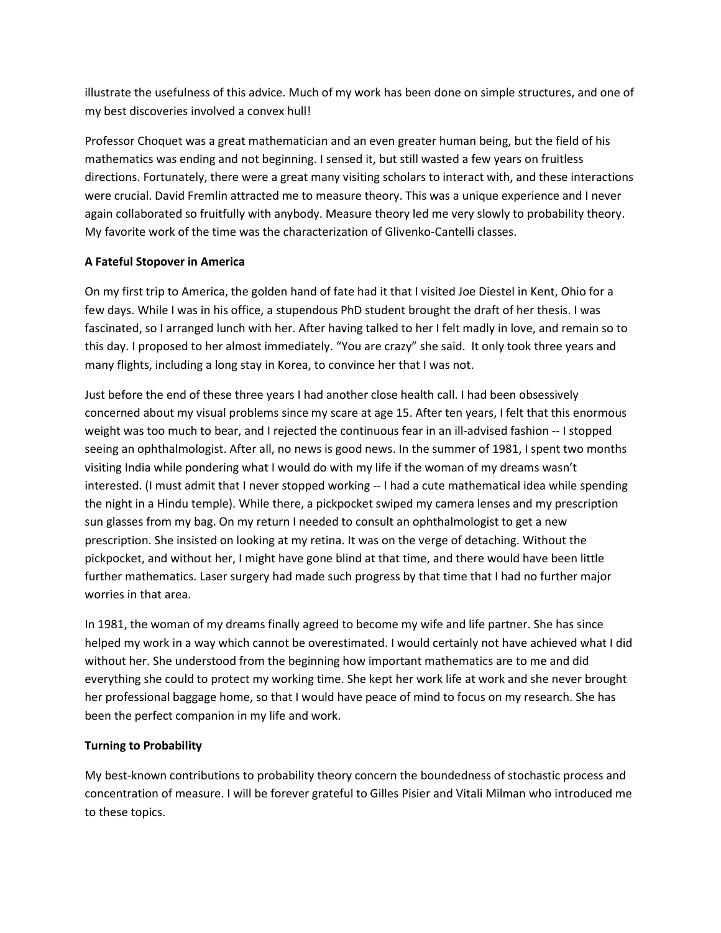illustrate the usefulness of this advice. Much of my work has been done on simple structures, and one of my best discoveries involved a convex hull!

Professor Choquet was a great mathematician and an even greater human being, but the field of his mathematics was ending and not beginning. I sensed it, but still wasted a few years on fruitless directions. Fortunately, there were a great many visiting scholars to interact with, and these interactions were crucial. David Fremlin attracted me to measure theory. This was a unique experience and I never again collaborated so fruitfully with anybody. Measure theory led me very slowly to probability theory. My favorite work of the time was the characterization of Glivenko-Cantelli classes.

# A Fateful Stopover in America

On my first trip to America, the golden hand of fate had it that I visited Joe Diestel in Kent, Ohio for a few days. While I was in his office, a stupendous PhD student brought the draft of her thesis. I was fascinated, so I arranged lunch with her. After having talked to her I felt madly in love, and remain so to this day. I proposed to her almost immediately. "You are crazy" she said. It only took three years and many flights, including a long stay in Korea, to convince her that I was not.

Just before the end of these three years I had another close health call. I had been obsessively concerned about my visual problems since my scare at age 15. After ten years, I felt that this enormous weight was too much to bear, and I rejected the continuous fear in an ill-advised fashion -- I stopped seeing an ophthalmologist. After all, no news is good news. In the summer of 1981, I spent two months visiting India while pondering what I would do with my life if the woman of my dreams wasn't interested. (I must admit that I never stopped working -- I had a cute mathematical idea while spending the night in a Hindu temple). While there, a pickpocket swiped my camera lenses and my prescription sun glasses from my bag. On my return I needed to consult an ophthalmologist to get a new prescription. She insisted on looking at my retina. It was on the verge of detaching. Without the pickpocket, and without her, I might have gone blind at that time, and there would have been little further mathematics. Laser surgery had made such progress by that time that I had no further major worries in that area.

In 1981, the woman of my dreams finally agreed to become my wife and life partner. She has since helped my work in a way which cannot be overestimated. I would certainly not have achieved what I did without her. She understood from the beginning how important mathematics are to me and did everything she could to protect my working time. She kept her work life at work and she never brought her professional baggage home, so that I would have peace of mind to focus on my research. She has been the perfect companion in my life and work.

# Turning to Probability

My best-known contributions to probability theory concern the boundedness of stochastic process and concentration of measure. I will be forever grateful to Gilles Pisier and Vitali Milman who introduced me to these topics.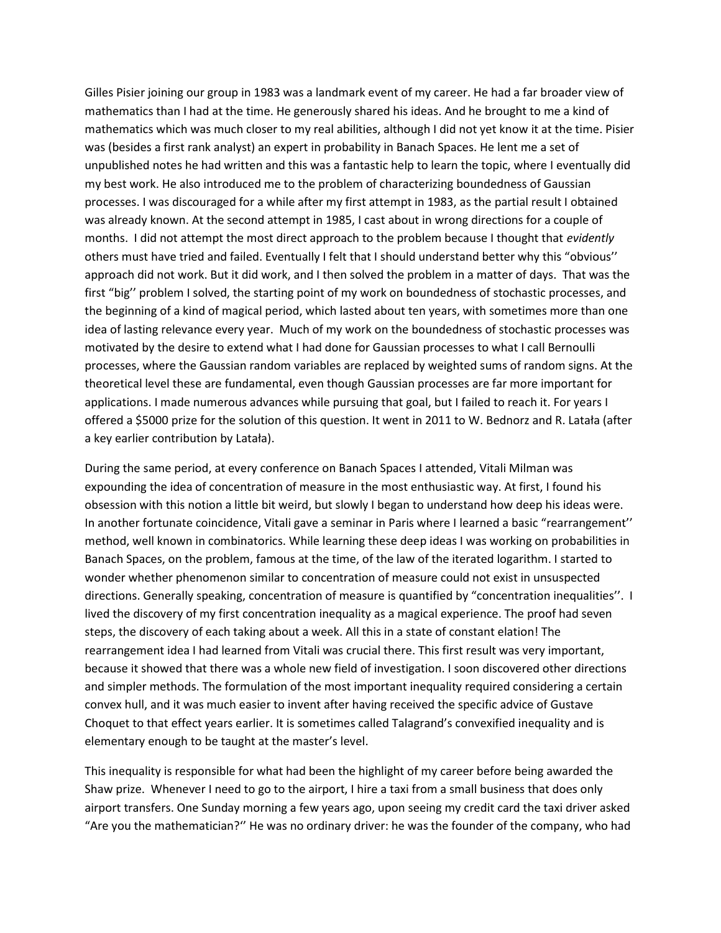Gilles Pisier joining our group in 1983 was a landmark event of my career. He had a far broader view of mathematics than I had at the time. He generously shared his ideas. And he brought to me a kind of mathematics which was much closer to my real abilities, although I did not yet know it at the time. Pisier was (besides a first rank analyst) an expert in probability in Banach Spaces. He lent me a set of unpublished notes he had written and this was a fantastic help to learn the topic, where I eventually did my best work. He also introduced me to the problem of characterizing boundedness of Gaussian processes. I was discouraged for a while after my first attempt in 1983, as the partial result I obtained was already known. At the second attempt in 1985, I cast about in wrong directions for a couple of months. I did not attempt the most direct approach to the problem because I thought that *evidently* others must have tried and failed. Eventually I felt that I should understand better why this "obvious'' approach did not work. But it did work, and I then solved the problem in a matter of days. That was the first "big'' problem I solved, the starting point of my work on boundedness of stochastic processes, and the beginning of a kind of magical period, which lasted about ten years, with sometimes more than one idea of lasting relevance every year. Much of my work on the boundedness of stochastic processes was motivated by the desire to extend what I had done for Gaussian processes to what I call Bernoulli processes, where the Gaussian random variables are replaced by weighted sums of random signs. At the theoretical level these are fundamental, even though Gaussian processes are far more important for applications. I made numerous advances while pursuing that goal, but I failed to reach it. For years I offered a \$5000 prize for the solution of this question. It went in 2011 to W. Bednorz and R. Latała (after a key earlier contribution by Latała).

During the same period, at every conference on Banach Spaces I attended, Vitali Milman was expounding the idea of concentration of measure in the most enthusiastic way. At first, I found his obsession with this notion a little bit weird, but slowly I began to understand how deep his ideas were. In another fortunate coincidence, Vitali gave a seminar in Paris where I learned a basic "rearrangement'' method, well known in combinatorics. While learning these deep ideas I was working on probabilities in Banach Spaces, on the problem, famous at the time, of the law of the iterated logarithm. I started to wonder whether phenomenon similar to concentration of measure could not exist in unsuspected directions. Generally speaking, concentration of measure is quantified by "concentration inequalities''. I lived the discovery of my first concentration inequality as a magical experience. The proof had seven steps, the discovery of each taking about a week. All this in a state of constant elation! The rearrangement idea I had learned from Vitali was crucial there. This first result was very important, because it showed that there was a whole new field of investigation. I soon discovered other directions and simpler methods. The formulation of the most important inequality required considering a certain convex hull, and it was much easier to invent after having received the specific advice of Gustave Choquet to that effect years earlier. It is sometimes called Talagrand's convexified inequality and is elementary enough to be taught at the master's level.

This inequality is responsible for what had been the highlight of my career before being awarded the Shaw prize. Whenever I need to go to the airport, I hire a taxi from a small business that does only airport transfers. One Sunday morning a few years ago, upon seeing my credit card the taxi driver asked "Are you the mathematician?'' He was no ordinary driver: he was the founder of the company, who had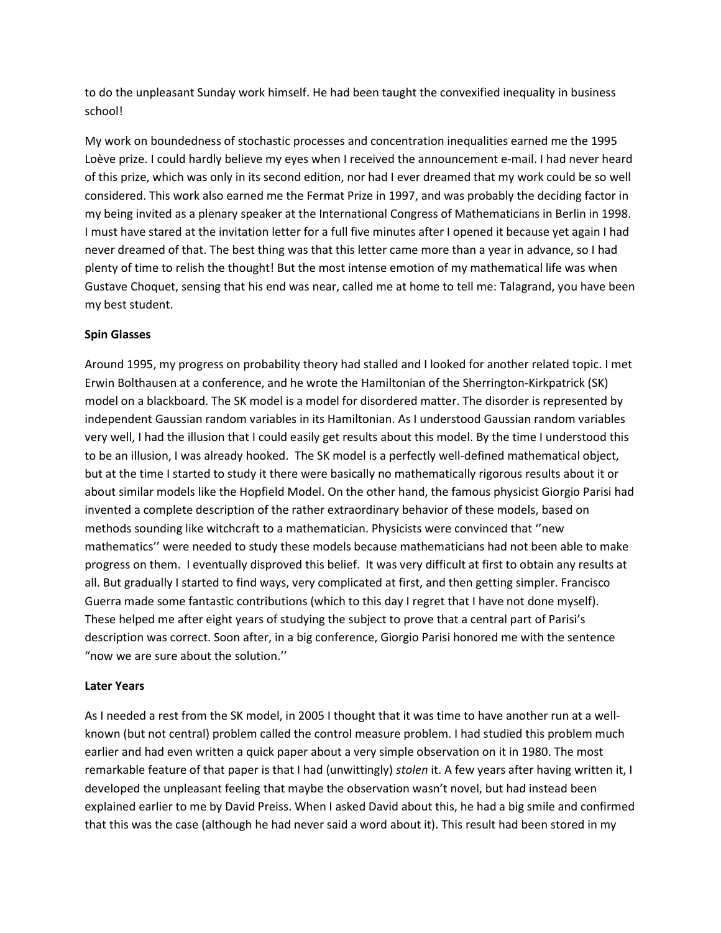to do the unpleasant Sunday work himself. He had been taught the convexified inequality in business school!

My work on boundedness of stochastic processes and concentration inequalities earned me the 1995 Loève prize. I could hardly believe my eyes when I received the announcement e-mail. I had never heard of this prize, which was only in its second edition, nor had I ever dreamed that my work could be so well considered. This work also earned me the Fermat Prize in 1997, and was probably the deciding factor in my being invited as a plenary speaker at the International Congress of Mathematicians in Berlin in 1998. I must have stared at the invitation letter for a full five minutes after I opened it because yet again I had never dreamed of that. The best thing was that this letter came more than a year in advance, so I had plenty of time to relish the thought! But the most intense emotion of my mathematical life was when Gustave Choquet, sensing that his end was near, called me at home to tell me: Talagrand, you have been my best student.

### Spin Glasses

Around 1995, my progress on probability theory had stalled and I looked for another related topic. I met Erwin Bolthausen at a conference, and he wrote the Hamiltonian of the Sherrington-Kirkpatrick (SK) model on a blackboard. The SK model is a model for disordered matter. The disorder is represented by independent Gaussian random variables in its Hamiltonian. As I understood Gaussian random variables very well, I had the illusion that I could easily get results about this model. By the time I understood this to be an illusion, I was already hooked. The SK model is a perfectly well-defined mathematical object, but at the time I started to study it there were basically no mathematically rigorous results about it or about similar models like the Hopfield Model. On the other hand, the famous physicist Giorgio Parisi had invented a complete description of the rather extraordinary behavior of these models, based on methods sounding like witchcraft to a mathematician. Physicists were convinced that ''new mathematics'' were needed to study these models because mathematicians had not been able to make progress on them. I eventually disproved this belief. It was very difficult at first to obtain any results at all. But gradually I started to find ways, very complicated at first, and then getting simpler. Francisco Guerra made some fantastic contributions (which to this day I regret that I have not done myself). These helped me after eight years of studying the subject to prove that a central part of Parisi's description was correct. Soon after, in a big conference, Giorgio Parisi honored me with the sentence "now we are sure about the solution.''

### Later Years

As I needed a rest from the SK model, in 2005 I thought that it was time to have another run at a wellknown (but not central) problem called the control measure problem. I had studied this problem much earlier and had even written a quick paper about a very simple observation on it in 1980. The most remarkable feature of that paper is that I had (unwittingly) stolen it. A few years after having written it, I developed the unpleasant feeling that maybe the observation wasn't novel, but had instead been explained earlier to me by David Preiss. When I asked David about this, he had a big smile and confirmed that this was the case (although he had never said a word about it). This result had been stored in my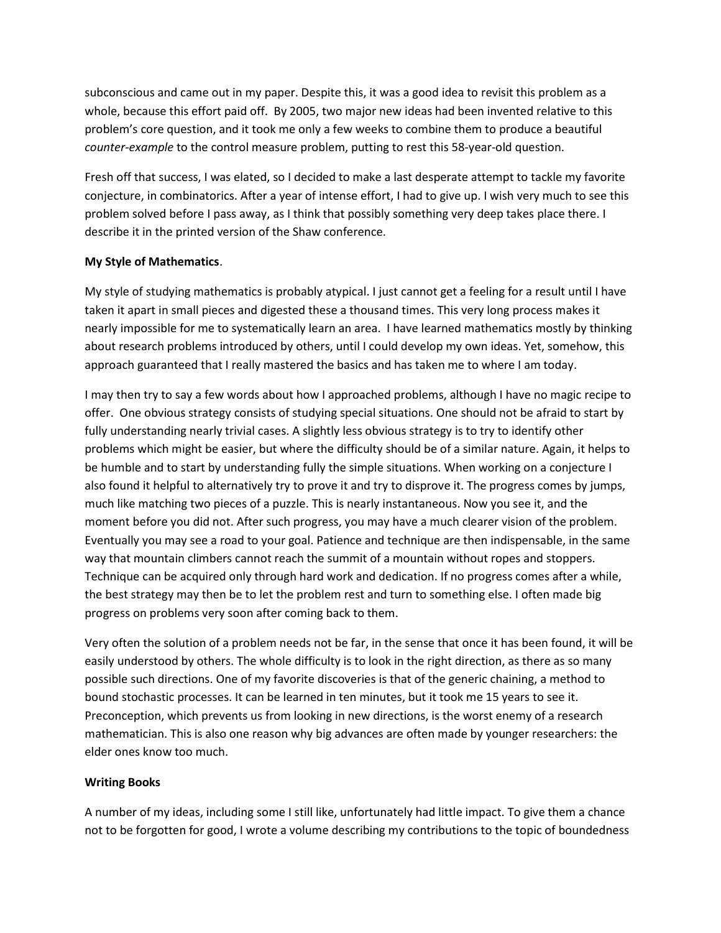subconscious and came out in my paper. Despite this, it was a good idea to revisit this problem as a whole, because this effort paid off. By 2005, two major new ideas had been invented relative to this problem's core question, and it took me only a few weeks to combine them to produce a beautiful counter-example to the control measure problem, putting to rest this 58-year-old question.

Fresh off that success, I was elated, so I decided to make a last desperate attempt to tackle my favorite conjecture, in combinatorics. After a year of intense effort, I had to give up. I wish very much to see this problem solved before I pass away, as I think that possibly something very deep takes place there. I describe it in the printed version of the Shaw conference.

## My Style of Mathematics.

My style of studying mathematics is probably atypical. I just cannot get a feeling for a result until I have taken it apart in small pieces and digested these a thousand times. This very long process makes it nearly impossible for me to systematically learn an area. I have learned mathematics mostly by thinking about research problems introduced by others, until I could develop my own ideas. Yet, somehow, this approach guaranteed that I really mastered the basics and has taken me to where I am today.

I may then try to say a few words about how I approached problems, although I have no magic recipe to offer. One obvious strategy consists of studying special situations. One should not be afraid to start by fully understanding nearly trivial cases. A slightly less obvious strategy is to try to identify other problems which might be easier, but where the difficulty should be of a similar nature. Again, it helps to be humble and to start by understanding fully the simple situations. When working on a conjecture I also found it helpful to alternatively try to prove it and try to disprove it. The progress comes by jumps, much like matching two pieces of a puzzle. This is nearly instantaneous. Now you see it, and the moment before you did not. After such progress, you may have a much clearer vision of the problem. Eventually you may see a road to your goal. Patience and technique are then indispensable, in the same way that mountain climbers cannot reach the summit of a mountain without ropes and stoppers. Technique can be acquired only through hard work and dedication. If no progress comes after a while, the best strategy may then be to let the problem rest and turn to something else. I often made big progress on problems very soon after coming back to them.

Very often the solution of a problem needs not be far, in the sense that once it has been found, it will be easily understood by others. The whole difficulty is to look in the right direction, as there as so many possible such directions. One of my favorite discoveries is that of the generic chaining, a method to bound stochastic processes. It can be learned in ten minutes, but it took me 15 years to see it. Preconception, which prevents us from looking in new directions, is the worst enemy of a research mathematician. This is also one reason why big advances are often made by younger researchers: the elder ones know too much.

### Writing Books

A number of my ideas, including some I still like, unfortunately had little impact. To give them a chance not to be forgotten for good, I wrote a volume describing my contributions to the topic of boundedness